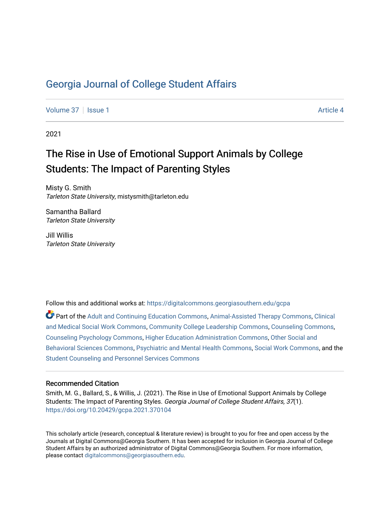[Volume 37](https://digitalcommons.georgiasouthern.edu/gcpa/vol37) | [Issue 1](https://digitalcommons.georgiasouthern.edu/gcpa/vol37/iss1) Article 4

2021

## The Rise in Use of Emotional Support Animals by College Students: The Impact of Parenting Styles

Misty G. Smith Tarleton State University, mistysmith@tarleton.edu

Samantha Ballard Tarleton State University

Jill Willis Tarleton State University

Follow this and additional works at: [https://digitalcommons.georgiasouthern.edu/gcpa](https://digitalcommons.georgiasouthern.edu/gcpa?utm_source=digitalcommons.georgiasouthern.edu%2Fgcpa%2Fvol37%2Fiss1%2F4&utm_medium=PDF&utm_campaign=PDFCoverPages) 

Part of the [Adult and Continuing Education Commons,](http://network.bepress.com/hgg/discipline/1375?utm_source=digitalcommons.georgiasouthern.edu%2Fgcpa%2Fvol37%2Fiss1%2F4&utm_medium=PDF&utm_campaign=PDFCoverPages) [Animal-Assisted Therapy Commons](http://network.bepress.com/hgg/discipline/1304?utm_source=digitalcommons.georgiasouthern.edu%2Fgcpa%2Fvol37%2Fiss1%2F4&utm_medium=PDF&utm_campaign=PDFCoverPages), [Clinical](http://network.bepress.com/hgg/discipline/712?utm_source=digitalcommons.georgiasouthern.edu%2Fgcpa%2Fvol37%2Fiss1%2F4&utm_medium=PDF&utm_campaign=PDFCoverPages) [and Medical Social Work Commons,](http://network.bepress.com/hgg/discipline/712?utm_source=digitalcommons.georgiasouthern.edu%2Fgcpa%2Fvol37%2Fiss1%2F4&utm_medium=PDF&utm_campaign=PDFCoverPages) [Community College Leadership Commons](http://network.bepress.com/hgg/discipline/1039?utm_source=digitalcommons.georgiasouthern.edu%2Fgcpa%2Fvol37%2Fiss1%2F4&utm_medium=PDF&utm_campaign=PDFCoverPages), [Counseling Commons](http://network.bepress.com/hgg/discipline/1268?utm_source=digitalcommons.georgiasouthern.edu%2Fgcpa%2Fvol37%2Fiss1%2F4&utm_medium=PDF&utm_campaign=PDFCoverPages), [Counseling Psychology Commons,](http://network.bepress.com/hgg/discipline/1044?utm_source=digitalcommons.georgiasouthern.edu%2Fgcpa%2Fvol37%2Fiss1%2F4&utm_medium=PDF&utm_campaign=PDFCoverPages) [Higher Education Administration Commons,](http://network.bepress.com/hgg/discipline/791?utm_source=digitalcommons.georgiasouthern.edu%2Fgcpa%2Fvol37%2Fiss1%2F4&utm_medium=PDF&utm_campaign=PDFCoverPages) [Other Social and](http://network.bepress.com/hgg/discipline/437?utm_source=digitalcommons.georgiasouthern.edu%2Fgcpa%2Fvol37%2Fiss1%2F4&utm_medium=PDF&utm_campaign=PDFCoverPages) [Behavioral Sciences Commons,](http://network.bepress.com/hgg/discipline/437?utm_source=digitalcommons.georgiasouthern.edu%2Fgcpa%2Fvol37%2Fiss1%2F4&utm_medium=PDF&utm_campaign=PDFCoverPages) [Psychiatric and Mental Health Commons](http://network.bepress.com/hgg/discipline/711?utm_source=digitalcommons.georgiasouthern.edu%2Fgcpa%2Fvol37%2Fiss1%2F4&utm_medium=PDF&utm_campaign=PDFCoverPages), [Social Work Commons,](http://network.bepress.com/hgg/discipline/713?utm_source=digitalcommons.georgiasouthern.edu%2Fgcpa%2Fvol37%2Fiss1%2F4&utm_medium=PDF&utm_campaign=PDFCoverPages) and the [Student Counseling and Personnel Services Commons](http://network.bepress.com/hgg/discipline/802?utm_source=digitalcommons.georgiasouthern.edu%2Fgcpa%2Fvol37%2Fiss1%2F4&utm_medium=PDF&utm_campaign=PDFCoverPages)

#### Recommended Citation

Smith, M. G., Ballard, S., & Willis, J. (2021). The Rise in Use of Emotional Support Animals by College Students: The Impact of Parenting Styles. Georgia Journal of College Student Affairs, 37(1). <https://doi.org/10.20429/gcpa.2021.370104>

This scholarly article (research, conceptual & literature review) is brought to you for free and open access by the Journals at Digital Commons@Georgia Southern. It has been accepted for inclusion in Georgia Journal of College Student Affairs by an authorized administrator of Digital Commons@Georgia Southern. For more information, please contact [digitalcommons@georgiasouthern.edu.](mailto:digitalcommons@georgiasouthern.edu)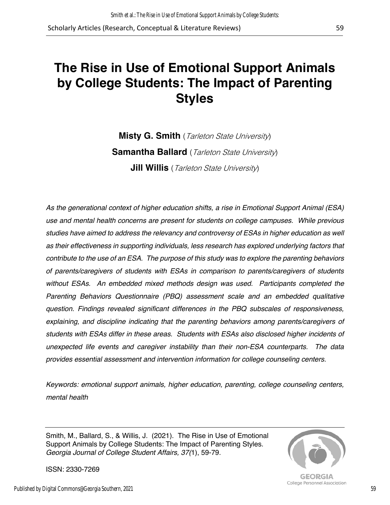# **The Rise in Use of Emotional Support Animals by College Students: The Impact of Parenting Styles**

**Misty G. Smith** (Tarleton State University) **Samantha Ballard** (Tarleton State University) **Jill Willis** (Tarleton State University)

*As the generational context of higher education shifts, a rise in Emotional Support Animal (ESA) use and mental health concerns are present for students on college campuses. While previous studies have aimed to address the relevancy and controversy of ESAs in higher education as well as their effectiveness in supporting individuals, less research has explored underlying factors that contribute to the use of an ESA. The purpose of this study was to explore the parenting behaviors of parents/caregivers of students with ESAs in comparison to parents/caregivers of students without ESAs. An embedded mixed methods design was used. Participants completed the Parenting Behaviors Questionnaire (PBQ) assessment scale and an embedded qualitative question. Findings revealed significant differences in the PBQ subscales of responsiveness, explaining, and discipline indicating that the parenting behaviors among parents/caregivers of students with ESAs differ in these areas. Students with ESAs also disclosed higher incidents of unexpected life events and caregiver instability than their non-ESA counterparts. The data provides essential assessment and intervention information for college counseling centers.* 

*Keywords: emotional support animals, higher education, parenting, college counseling centers, mental health*

Smith, M., Ballard, S., & Willis, J. (2021). The Rise in Use of Emotional Support Animals by College Students: The Impact of Parenting Styles. *Georgia Journal of College Student Affairs, 37(*1), 59-79.



**GEORGIA** College Personnel Association

ISSN: 2330-7269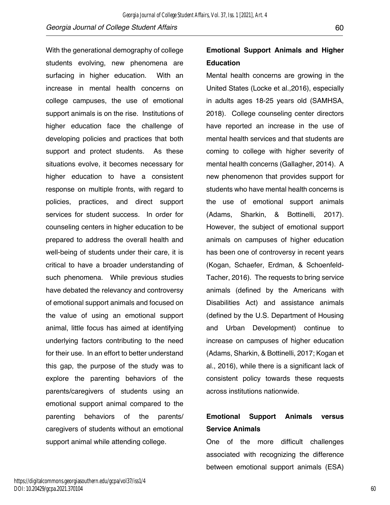With the generational demography of college students evolving, new phenomena are surfacing in higher education. With an increase in mental health concerns on college campuses, the use of emotional support animals is on the rise. Institutions of higher education face the challenge of developing policies and practices that both support and protect students. As these situations evolve, it becomes necessary for higher education to have a consistent response on multiple fronts, with regard to policies, practices, and direct support services for student success. In order for counseling centers in higher education to be prepared to address the overall health and well-being of students under their care, it is critical to have a broader understanding of such phenomena. While previous studies have debated the relevancy and controversy of emotional support animals and focused on the value of using an emotional support animal, little focus has aimed at identifying underlying factors contributing to the need for their use. In an effort to better understand this gap, the purpose of the study was to explore the parenting behaviors of the parents/caregivers of students using an emotional support animal compared to the parenting behaviors of the parents/ caregivers of students without an emotional support animal while attending college.

## **Emotional Support Animals and Higher Education**

Mental health concerns are growing in the United States (Locke et al.,2016), especially in adults ages 18-25 years old (SAMHSA, 2018). College counseling center directors have reported an increase in the use of mental health services and that students are coming to college with higher severity of mental health concerns (Gallagher, 2014). A new phenomenon that provides support for students who have mental health concerns is the use of emotional support animals (Adams, Sharkin, & Bottinelli, 2017). However, the subject of emotional support animals on campuses of higher education has been one of controversy in recent years (Kogan, Schaefer, Erdman, & Schoenfeld-Tacher, 2016). The requests to bring service animals (defined by the Americans with Disabilities Act) and assistance animals (defined by the U.S. Department of Housing and Urban Development) continue to increase on campuses of higher education (Adams, Sharkin, & Bottinelli, 2017; Kogan et al., 2016), while there is a significant lack of consistent policy towards these requests across institutions nationwide.

## **Emotional Support Animals versus Service Animals**

One of the more difficult challenges associated with recognizing the difference between emotional support animals (ESA)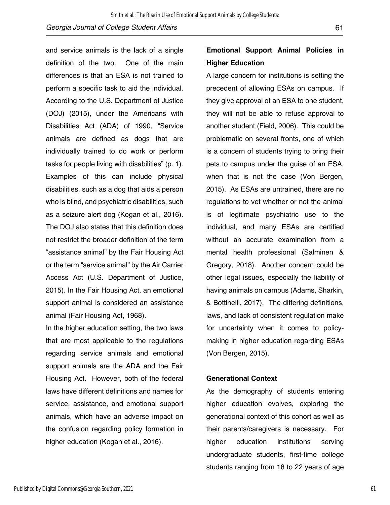and service animals is the lack of a single definition of the two. One of the main differences is that an ESA is not trained to perform a specific task to aid the individual. According to the U.S. Department of Justice (DOJ) (2015), under the Americans with Disabilities Act (ADA) of 1990, "Service animals are defined as dogs that are individually trained to do work or perform tasks for people living with disabilities" (p. 1). Examples of this can include physical disabilities, such as a dog that aids a person who is blind, and psychiatric disabilities, such as a seizure alert dog (Kogan et al., 2016). The DOJ also states that this definition does not restrict the broader definition of the term "assistance animal" by the Fair Housing Act or the term "service animal" by the Air Carrier Access Act (U.S. Department of Justice, 2015). In the Fair Housing Act, an emotional support animal is considered an assistance animal (Fair Housing Act, 1968).

In the higher education setting, the two laws that are most applicable to the regulations regarding service animals and emotional support animals are the ADA and the Fair Housing Act. However, both of the federal laws have different definitions and names for service, assistance, and emotional support animals, which have an adverse impact on the confusion regarding policy formation in higher education (Kogan et al., 2016).

## **Emotional Support Animal Policies in Higher Education**

A large concern for institutions is setting the precedent of allowing ESAs on campus. If they give approval of an ESA to one student, they will not be able to refuse approval to another student (Field, 2006). This could be problematic on several fronts, one of which is a concern of students trying to bring their pets to campus under the guise of an ESA, when that is not the case (Von Bergen, 2015). As ESAs are untrained, there are no regulations to vet whether or not the animal is of legitimate psychiatric use to the individual, and many ESAs are certified without an accurate examination from a mental health professional (Salminen & Gregory, 2018). Another concern could be other legal issues, especially the liability of having animals on campus (Adams, Sharkin, & Bottinelli, 2017). The differing definitions, laws, and lack of consistent regulation make for uncertainty when it comes to policymaking in higher education regarding ESAs (Von Bergen, 2015).

#### **Generational Context**

As the demography of students entering higher education evolves, exploring the generational context of this cohort as well as their parents/caregivers is necessary. For higher education institutions serving undergraduate students, first-time college students ranging from 18 to 22 years of age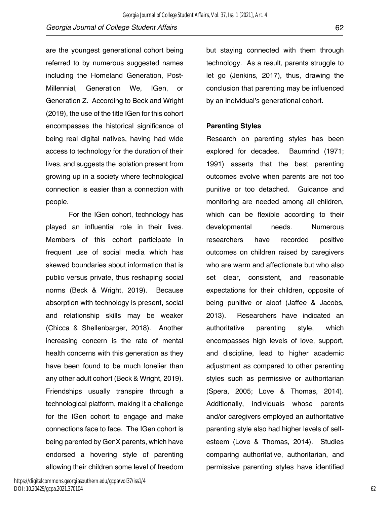are the youngest generational cohort being referred to by numerous suggested names including the Homeland Generation, Post-Millennial, Generation We, IGen, or Generation Z. According to Beck and Wright (2019), the use of the title IGen for this cohort encompasses the historical significance of being real digital natives, having had wide access to technology for the duration of their lives, and suggests the isolation present from growing up in a society where technological connection is easier than a connection with people.

For the IGen cohort, technology has played an influential role in their lives. Members of this cohort participate in frequent use of social media which has skewed boundaries about information that is public versus private, thus reshaping social norms (Beck & Wright, 2019). Because absorption with technology is present, social and relationship skills may be weaker (Chicca & Shellenbarger, 2018). Another increasing concern is the rate of mental health concerns with this generation as they have been found to be much lonelier than any other adult cohort (Beck & Wright, 2019). Friendships usually transpire through a technological platform, making it a challenge for the IGen cohort to engage and make connections face to face. The IGen cohort is being parented by GenX parents, which have endorsed a hovering style of parenting allowing their children some level of freedom

but staying connected with them through technology. As a result, parents struggle to let go (Jenkins, 2017), thus, drawing the conclusion that parenting may be influenced by an individual's generational cohort.

#### **Parenting Styles**

Research on parenting styles has been explored for decades. Baumrind (1971; 1991) asserts that the best parenting outcomes evolve when parents are not too punitive or too detached. Guidance and monitoring are needed among all children, which can be flexible according to their developmental needs. Numerous researchers have recorded positive outcomes on children raised by caregivers who are warm and affectionate but who also set clear, consistent, and reasonable expectations for their children, opposite of being punitive or aloof (Jaffee & Jacobs, 2013). Researchers have indicated an authoritative parenting style, which encompasses high levels of love, support, and discipline, lead to higher academic adjustment as compared to other parenting styles such as permissive or authoritarian (Spera, 2005; Love & Thomas, 2014). Additionally, individuals whose parents and/or caregivers employed an authoritative parenting style also had higher levels of selfesteem (Love & Thomas, 2014). Studies comparing authoritative, authoritarian, and permissive parenting styles have identified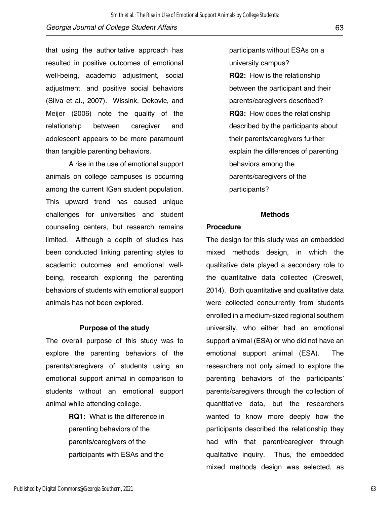that using the authoritative approach has resulted in positive outcomes of emotional well-being, academic adjustment, social adjustment, and positive social behaviors (Silva et al., 2007). Wissink, Dekovic, and Meijer (2006) note the quality of the relationship between caregiver and adolescent appears to be more paramount than tangible parenting behaviors.

A rise in the use of emotional support animals on college campuses is occurring among the current IGen student population. This upward trend has caused unique challenges for universities and student counseling centers, but research remains limited. Although a depth of studies has been conducted linking parenting styles to academic outcomes and emotional wellbeing, research exploring the parenting behaviors of students with emotional support animals has not been explored.

#### **Purpose of the study**

The overall purpose of this study was to explore the parenting behaviors of the parents/caregivers of students using an emotional support animal in comparison to students without an emotional support animal while attending college.

> **RQ1:** What is the difference in parenting behaviors of the parents/caregivers of the participants with ESAs and the

participants without ESAs on a university campus? **RQ2:** How is the relationship between the participant and their parents/caregivers described? **RQ3:** How does the relationship described by the participants about their parents/caregivers further explain the differences of parenting behaviors among the parents/caregivers of the participants?

#### **Methods**

#### **Procedure**

The design for this study was an embedded mixed methods design, in which the qualitative data played a secondary role to the quantitative data collected (Creswell, 2014). Both quantitative and qualitative data were collected concurrently from students enrolled in a medium-sized regional southern university, who either had an emotional support animal (ESA) or who did not have an emotional support animal (ESA). The researchers not only aimed to explore the parenting behaviors of the participants' parents/caregivers through the collection of quantitative data, but the researchers wanted to know more deeply how the participants described the relationship they had with that parent/caregiver through qualitative inquiry. Thus, the embedded mixed methods design was selected, as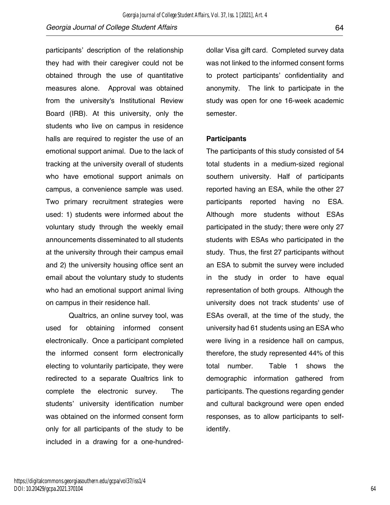participants' description of the relationship they had with their caregiver could not be obtained through the use of quantitative measures alone. Approval was obtained from the university's Institutional Review Board (IRB). At this university, only the students who live on campus in residence halls are required to register the use of an emotional support animal. Due to the lack of tracking at the university overall of students who have emotional support animals on campus, a convenience sample was used. Two primary recruitment strategies were used: 1) students were informed about the voluntary study through the weekly email announcements disseminated to all students at the university through their campus email and 2) the university housing office sent an email about the voluntary study to students who had an emotional support animal living on campus in their residence hall.

Qualtrics, an online survey tool, was used for obtaining informed consent electronically. Once a participant completed the informed consent form electronically electing to voluntarily participate, they were redirected to a separate Qualtrics link to complete the electronic survey. The students' university identification number was obtained on the informed consent form only for all participants of the study to be included in a drawing for a one-hundreddollar Visa gift card. Completed survey data was not linked to the informed consent forms to protect participants' confidentiality and anonymity. The link to participate in the study was open for one 16-week academic semester.

#### **Participants**

The participants of this study consisted of 54 total students in a medium-sized regional southern university. Half of participants reported having an ESA, while the other 27 participants reported having no ESA. Although more students without ESAs participated in the study; there were only 27 students with ESAs who participated in the study. Thus, the first 27 participants without an ESA to submit the survey were included in the study in order to have equal representation of both groups. Although the university does not track students' use of ESAs overall, at the time of the study, the university had 61 students using an ESA who were living in a residence hall on campus, therefore, the study represented 44% of this total number. Table 1 shows the demographic information gathered from participants. The questions regarding gender and cultural background were open ended responses, as to allow participants to selfidentify.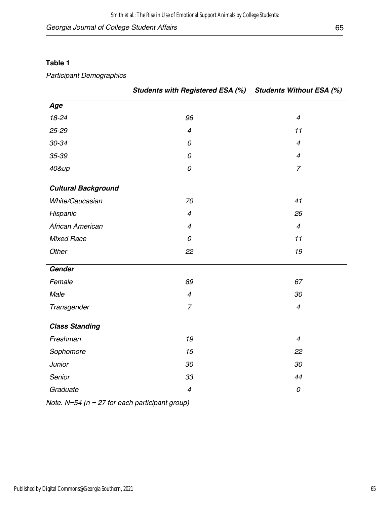### **Table 1**

### *Participant Demographics*

|                            | <b>Students with Registered ESA (%)</b> | <b>Students Without ESA (%)</b> |
|----------------------------|-----------------------------------------|---------------------------------|
| Age                        |                                         |                                 |
| $18 - 24$                  | 96                                      | $\overline{4}$                  |
| 25-29                      | $\overline{4}$                          | 11                              |
| 30-34                      | 0                                       | $\overline{4}$                  |
| 35-39                      | 0                                       | $\overline{4}$                  |
| 40&up                      | 0                                       | $\overline{7}$                  |
| <b>Cultural Background</b> |                                         |                                 |
| White/Caucasian            | 70                                      | 41                              |
| Hispanic                   | $\overline{4}$                          | 26                              |
| African American           | $\overline{4}$                          | $\overline{4}$                  |
| <b>Mixed Race</b>          | 0                                       | 11                              |
| Other                      | 22                                      | 19                              |
| Gender                     |                                         |                                 |
| Female                     | 89                                      | 67                              |
| Male                       | $\overline{4}$                          | 30                              |
| Transgender                | $\overline{7}$                          | $\overline{4}$                  |
| <b>Class Standing</b>      |                                         |                                 |
| Freshman                   | 19                                      | $\overline{4}$                  |
| Sophomore                  | 15                                      | 22                              |
| Junior                     | 30                                      | 30                              |
| Senior                     | 33                                      | 44                              |
| Graduate                   | $\overline{\mathcal{A}}$                | 0                               |

*Note. N=54 (n = 27 for each participant group)*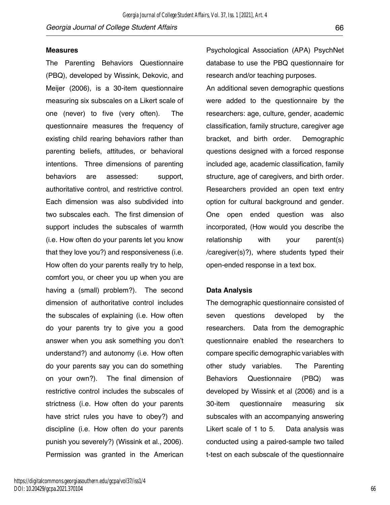#### **Measures**

The Parenting Behaviors Questionnaire (PBQ), developed by Wissink, Dekovic, and Meijer (2006), is a 30-item questionnaire measuring six subscales on a Likert scale of one (never) to five (very often). The questionnaire measures the frequency of existing child rearing behaviors rather than parenting beliefs, attitudes, or behavioral intentions. Three dimensions of parenting behaviors are assessed: support, authoritative control, and restrictive control. Each dimension was also subdivided into two subscales each. The first dimension of support includes the subscales of warmth (i.e. How often do your parents let you know that they love you?) and responsiveness (i.e. How often do your parents really try to help, comfort you, or cheer you up when you are having a (small) problem?). The second dimension of authoritative control includes the subscales of explaining (i.e. How often do your parents try to give you a good answer when you ask something you don't understand?) and autonomy (i.e. How often do your parents say you can do something on your own?). The final dimension of restrictive control includes the subscales of strictness (i.e. How often do your parents have strict rules you have to obey?) and discipline (i.e. How often do your parents punish you severely?) (Wissink et al., 2006). Permission was granted in the American Psychological Association (APA) PsychNet database to use the PBQ questionnaire for research and/or teaching purposes.

An additional seven demographic questions were added to the questionnaire by the researchers: age, culture, gender, academic classification, family structure, caregiver age bracket, and birth order. Demographic questions designed with a forced response included age, academic classification, family structure, age of caregivers, and birth order. Researchers provided an open text entry option for cultural background and gender. One open ended question was also incorporated, (How would you describe the relationship with your parent(s) /caregiver(s)?), where students typed their open-ended response in a text box.

#### **Data Analysis**

The demographic questionnaire consisted of seven questions developed by the researchers. Data from the demographic questionnaire enabled the researchers to compare specific demographic variables with other study variables. The Parenting Behaviors Questionnaire (PBQ) was developed by Wissink et al (2006) and is a 30-item questionnaire measuring six subscales with an accompanying answering Likert scale of 1 to 5. Data analysis was conducted using a paired-sample two tailed t-test on each subscale of the questionnaire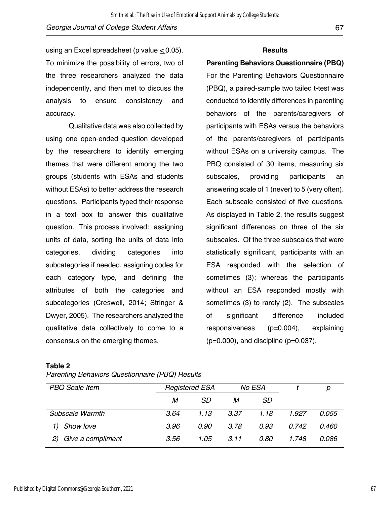using an Excel spreadsheet (p value  $< 0.05$ ). To minimize the possibility of errors, two of the three researchers analyzed the data independently, and then met to discuss the analysis to ensure consistency and accuracy.

Qualitative data was also collected by using one open-ended question developed by the researchers to identify emerging themes that were different among the two groups (students with ESAs and students without ESAs) to better address the research questions. Participants typed their response in a text box to answer this qualitative question. This process involved: assigning units of data, sorting the units of data into categories, dividing categories into subcategories if needed, assigning codes for each category type, and defining the attributes of both the categories and subcategories (Creswell, 2014; Stringer & Dwyer, 2005). The researchers analyzed the qualitative data collectively to come to a consensus on the emerging themes.

#### **Results**

#### **Parenting Behaviors Questionnaire (PBQ)**

For the Parenting Behaviors Questionnaire (PBQ), a paired-sample two tailed t-test was conducted to identify differences in parenting behaviors of the parents/caregivers of participants with ESAs versus the behaviors of the parents/caregivers of participants without ESAs on a university campus. The PBQ consisted of 30 items, measuring six subscales, providing participants an answering scale of 1 (never) to 5 (very often). Each subscale consisted of five questions. As displayed in Table 2, the results suggest significant differences on three of the six subscales. Of the three subscales that were statistically significant, participants with an ESA responded with the selection of sometimes (3); whereas the participants without an ESA responded mostly with sometimes (3) to rarely (2). The subscales of significant difference included responsiveness (p=0.004), explaining  $(p=0.000)$ , and discipline  $(p=0.037)$ .

#### **Table 2**

| Parenting Behaviors Questionnaire (PBQ) Results |  |  |  |
|-------------------------------------------------|--|--|--|
|-------------------------------------------------|--|--|--|

| <b>PBQ</b> Scale Item   |      | <b>Registered ESA</b><br>No ESA |      |      |       | р     |
|-------------------------|------|---------------------------------|------|------|-------|-------|
|                         | м    | SD                              | М    | SD.  |       |       |
| Subscale Warmth         | 3.64 | 1.13                            | 3.37 | 1.18 | 1.927 | 0.055 |
| Show love               | 3.96 | 0.90                            | 3.78 | 0.93 | 0.742 | 0.460 |
| Give a compliment<br>2) | 3.56 | 1.05                            | 3.11 | 0.80 | 1.748 | 0.086 |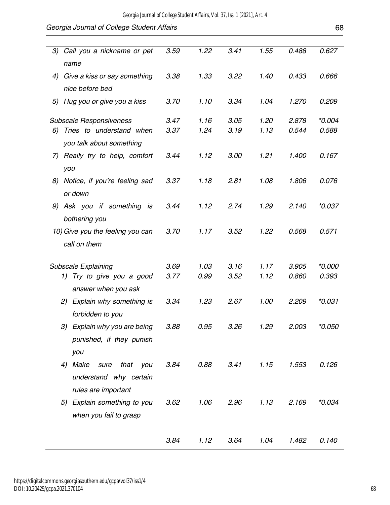| 3) | Call you a nickname or pet        | 3.59 | 1.22 | 3.41 | 1.55 | 0.488          | 0.627    |
|----|-----------------------------------|------|------|------|------|----------------|----------|
|    | name                              |      |      |      |      |                |          |
| 4) | Give a kiss or say something      | 3.38 | 1.33 | 3.22 | 1.40 | 0.433          | 0.666    |
|    | nice before bed                   |      |      |      |      |                |          |
|    | 5) Hug you or give you a kiss     | 3.70 | 1.10 | 3.34 | 1.04 | 1.270          | 0.209    |
|    |                                   |      |      |      |      |                |          |
|    | <b>Subscale Responsiveness</b>    | 3.47 | 1.16 | 3.05 | 1.20 | 2.878<br>0.544 | $*0.004$ |
|    | 6) Tries to understand when       | 3.37 | 1.24 | 3.19 | 1.13 |                | 0.588    |
|    | you talk about something          |      |      |      |      |                |          |
|    | 7) Really try to help, comfort    | 3.44 | 1.12 | 3.00 | 1.21 | 1.400          | 0.167    |
|    | you                               |      |      |      |      |                |          |
| 8) | Notice, if you're feeling sad     | 3.37 | 1.18 | 2.81 | 1.08 | 1.806          | 0.076    |
|    | or down                           |      |      |      |      |                |          |
|    | 9) Ask you if something is        | 3.44 | 1.12 | 2.74 | 1.29 | 2.140          | $*0.037$ |
|    | bothering you                     |      |      |      |      |                |          |
|    | 10) Give you the feeling you can  | 3.70 | 1.17 | 3.52 | 1.22 | 0.568          | 0.571    |
|    | call on them                      |      |      |      |      |                |          |
|    |                                   |      |      |      |      |                |          |
|    | <b>Subscale Explaining</b>        | 3.69 | 1.03 | 3.16 | 1.17 | 3.905          | $*0.000$ |
|    | 1) Try to give you a good         | 3.77 | 0.99 | 3.52 | 1.12 | 0.860          | 0.393    |
|    | answer when you ask               |      |      |      |      |                |          |
|    | 2) Explain why something is       | 3.34 | 1.23 | 2.67 | 1.00 | 2.209          | $*0.031$ |
|    | forbidden to you                  |      |      |      |      |                |          |
|    | 3) Explain why you are being      | 3.88 | 0.95 | 3.26 | 1.29 | 2.003          | *0.050   |
|    | punished, if they punish          |      |      |      |      |                |          |
|    | you                               |      |      |      |      |                |          |
|    | Make<br>that<br>sure<br>you<br>4) | 3.84 | 0.88 | 3.41 | 1.15 | 1.553          | 0.126    |
|    | understand why certain            |      |      |      |      |                |          |
|    | rules are important               |      |      |      |      |                |          |
|    | 5) Explain something to you       | 3.62 | 1.06 | 2.96 | 1.13 | 2.169          | $*0.034$ |
|    | when you fail to grasp            |      |      |      |      |                |          |
|    |                                   |      |      |      |      |                |          |
|    |                                   |      |      |      |      |                |          |
|    |                                   | 3.84 | 1.12 | 3.64 | 1.04 | 1.482          | 0.140    |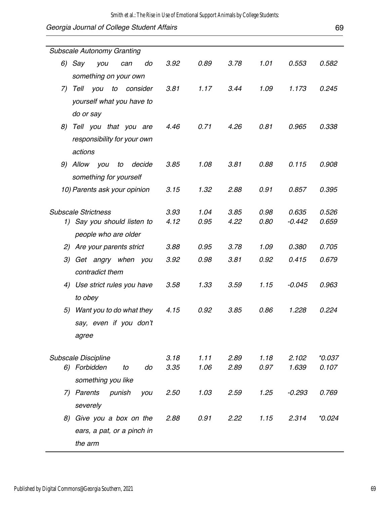| <b>Subscale Autonomy Granting</b>               |              |              |              |              |                |                   |  |
|-------------------------------------------------|--------------|--------------|--------------|--------------|----------------|-------------------|--|
| 6) Say<br>you<br>do<br>can                      | 3.92         | 0.89         | 3.78         | 1.01         | 0.553          | 0.582             |  |
| something on your own                           |              |              |              |              |                |                   |  |
| Tell<br>to<br>you<br>consider<br>7)             | 3.81         | 1.17         | 3.44         | 1.09         | 1.173          | 0.245             |  |
| yourself what you have to                       |              |              |              |              |                |                   |  |
| do or say                                       |              |              |              |              |                |                   |  |
| Tell you that you are<br>8)                     | 4.46         | 0.71         | 4.26         | 0.81         | 0.965          | 0.338             |  |
| responsibility for your own                     |              |              |              |              |                |                   |  |
| actions                                         |              |              |              |              |                |                   |  |
| 9) Allow you<br>to<br>decide                    | 3.85         | 1.08         | 3.81         | 0.88         | 0.115          | 0.908             |  |
| something for yourself                          |              |              |              |              |                |                   |  |
| 10) Parents ask your opinion                    | 3.15         | 1.32         | 2.88         | 0.91         | 0.857          | 0.395             |  |
|                                                 |              |              |              |              |                |                   |  |
| <b>Subscale Strictness</b>                      | 3.93         | 1.04         | 3.85         | 0.98         | 0.635          | 0.526             |  |
| 1) Say you should listen to                     | 4.12         | 0.95         | 4.22         | 0.80         | $-0.442$       | 0.659             |  |
| people who are older                            |              |              |              |              |                |                   |  |
| 2) Are your parents strict                      | 3.88         | 0.95         | 3.78         | 1.09         | 0.380          | 0.705             |  |
| 3)<br>Get angry when you                        | 3.92         | 0.98         | 3.81         | 0.92         | 0.415          | 0.679             |  |
| contradict them                                 |              |              |              |              |                |                   |  |
| 4) Use strict rules you have                    | 3.58         | 1.33         | 3.59         | 1.15         | $-0.045$       | 0.963             |  |
| to obey                                         |              |              |              |              |                |                   |  |
| Want you to do what they<br>5)                  | 4.15         | 0.92         | 3.85         | 0.86         | 1.228          | 0.224             |  |
| say, even if you don't                          |              |              |              |              |                |                   |  |
| agree                                           |              |              |              |              |                |                   |  |
|                                                 |              |              |              |              |                |                   |  |
| Subscale Discipline<br>6) Forbidden<br>do<br>to | 3.18<br>3.35 | 1.11<br>1.06 | 2.89<br>2.89 | 1.18<br>0.97 | 2.102<br>1.639 | $*0.037$<br>0.107 |  |
| something you like                              |              |              |              |              |                |                   |  |
| 7) Parents<br>punish                            | 2.50         | 1.03         | 2.59         | 1.25         | $-0.293$       | 0.769             |  |
| you                                             |              |              |              |              |                |                   |  |
| severely                                        |              |              |              |              |                |                   |  |
| Give you a box on the<br>8)                     | 2.88         | 0.91         | 2.22         | 1.15         | 2.314          | $*0.024$          |  |
| ears, a pat, or a pinch in                      |              |              |              |              |                |                   |  |
| the arm                                         |              |              |              |              |                |                   |  |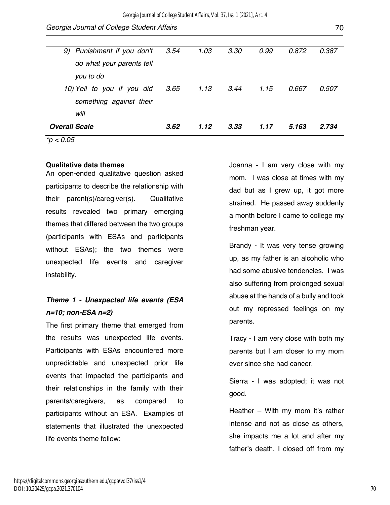| $\sim$ 0.0 $\sim$          |      |      |      |      |       |       |
|----------------------------|------|------|------|------|-------|-------|
| <b>Overall Scale</b>       | 3.62 | 1.12 | 3.33 | 1.17 | 5.163 | 2.734 |
| will                       |      |      |      |      |       |       |
| something against their    |      |      |      |      |       |       |
| 10) Yell to you if you did | 3.65 | 1.13 | 3.44 | 1.15 | 0.667 | 0.507 |
| you to do                  |      |      |      |      |       |       |
| do what your parents tell  |      |      |      |      |       |       |
| 9) Punishment if you don't | 3.54 | 1.03 | 3.30 | 0.99 | 0.872 | 0.387 |
|                            |      |      |      |      |       |       |

*\*p < 0.05*

#### **Qualitative data themes**

An open-ended qualitative question asked participants to describe the relationship with their parent(s)/caregiver(s). Qualitative results revealed two primary emerging themes that differed between the two groups (participants with ESAs and participants without ESAs); the two themes were unexpected life events and caregiver instability.

## *Theme 1 - Unexpected life events (ESA n=10; non-ESA n=2)*

The first primary theme that emerged from the results was unexpected life events. Participants with ESAs encountered more unpredictable and unexpected prior life events that impacted the participants and their relationships in the family with their parents/caregivers, as compared to participants without an ESA. Examples of statements that illustrated the unexpected life events theme follow:

Joanna - I am very close with my mom. I was close at times with my dad but as I grew up, it got more strained. He passed away suddenly a month before I came to college my freshman year.

Brandy - It was very tense growing up, as my father is an alcoholic who had some abusive tendencies. I was also suffering from prolonged sexual abuse at the hands of a bully and took out my repressed feelings on my parents.

Tracy - I am very close with both my parents but I am closer to my mom ever since she had cancer.

Sierra - I was adopted; it was not good.

Heather – With my mom it's rather intense and not as close as others, she impacts me a lot and after my father's death, I closed off from my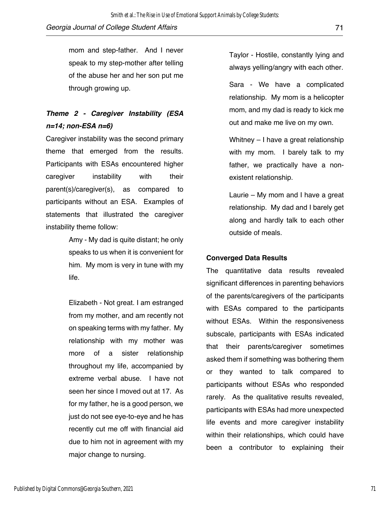mom and step-father. And I never speak to my step-mother after telling of the abuse her and her son put me through growing up.

### *Theme 2 - Caregiver Instability (ESA n=14; non-ESA n=6)*

Caregiver instability was the second primary theme that emerged from the results. Participants with ESAs encountered higher caregiver instability with their parent(s)/caregiver(s), as compared to participants without an ESA. Examples of statements that illustrated the caregiver instability theme follow:

> Amy - My dad is quite distant; he only speaks to us when it is convenient for him. My mom is very in tune with my life.

> Elizabeth - Not great. I am estranged from my mother, and am recently not on speaking terms with my father. My relationship with my mother was more of a sister relationship throughout my life, accompanied by extreme verbal abuse. I have not seen her since I moved out at 17. As for my father, he is a good person, we just do not see eye-to-eye and he has recently cut me off with financial aid due to him not in agreement with my major change to nursing.

Taylor - Hostile, constantly lying and always yelling/angry with each other.

Sara - We have a complicated relationship. My mom is a helicopter mom, and my dad is ready to kick me out and make me live on my own.

Whitney – I have a great relationship with my mom. I barely talk to my father, we practically have a nonexistent relationship.

Laurie – My mom and I have a great relationship. My dad and I barely get along and hardly talk to each other outside of meals.

#### **Converged Data Results**

The quantitative data results revealed significant differences in parenting behaviors of the parents/caregivers of the participants with ESAs compared to the participants without ESAs. Within the responsiveness subscale, participants with ESAs indicated that their parents/caregiver sometimes asked them if something was bothering them or they wanted to talk compared to participants without ESAs who responded rarely. As the qualitative results revealed, participants with ESAs had more unexpected life events and more caregiver instability within their relationships, which could have been a contributor to explaining their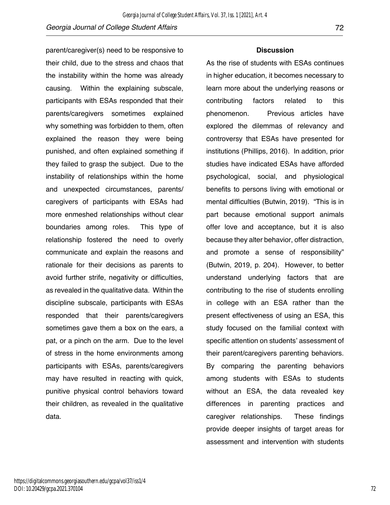parent/caregiver(s) need to be responsive to their child, due to the stress and chaos that the instability within the home was already causing. Within the explaining subscale, participants with ESAs responded that their parents/caregivers sometimes explained why something was forbidden to them, often explained the reason they were being punished, and often explained something if they failed to grasp the subject. Due to the instability of relationships within the home and unexpected circumstances, parents/ caregivers of participants with ESAs had more enmeshed relationships without clear boundaries among roles. This type of relationship fostered the need to overly communicate and explain the reasons and rationale for their decisions as parents to avoid further strife, negativity or difficulties, as revealed in the qualitative data. Within the discipline subscale, participants with ESAs responded that their parents/caregivers sometimes gave them a box on the ears, a pat, or a pinch on the arm. Due to the level of stress in the home environments among participants with ESAs, parents/caregivers may have resulted in reacting with quick, punitive physical control behaviors toward their children, as revealed in the qualitative data.

#### **Discussion**

As the rise of students with ESAs continues in higher education, it becomes necessary to learn more about the underlying reasons or contributing factors related to this phenomenon. Previous articles have explored the dilemmas of relevancy and controversy that ESAs have presented for institutions (Phillips, 2016). In addition, prior studies have indicated ESAs have afforded psychological, social, and physiological benefits to persons living with emotional or mental difficulties (Butwin, 2019). "This is in part because emotional support animals offer love and acceptance, but it is also because they alter behavior, offer distraction, and promote a sense of responsibility" (Butwin, 2019, p. 204). However, to better understand underlying factors that are contributing to the rise of students enrolling in college with an ESA rather than the present effectiveness of using an ESA, this study focused on the familial context with specific attention on students' assessment of their parent/caregivers parenting behaviors. By comparing the parenting behaviors among students with ESAs to students without an ESA, the data revealed key differences in parenting practices and caregiver relationships. These findings provide deeper insights of target areas for assessment and intervention with students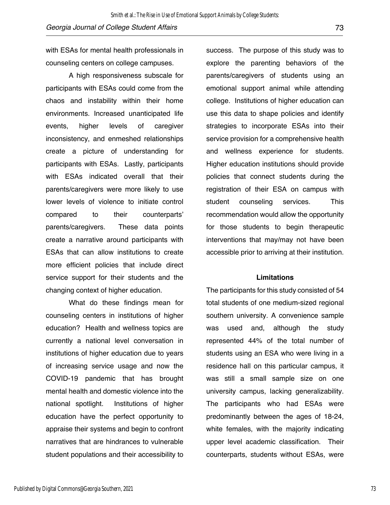with ESAs for mental health professionals in counseling centers on college campuses.

A high responsiveness subscale for participants with ESAs could come from the chaos and instability within their home environments. Increased unanticipated life events, higher levels of caregiver inconsistency, and enmeshed relationships create a picture of understanding for participants with ESAs. Lastly, participants with ESAs indicated overall that their parents/caregivers were more likely to use lower levels of violence to initiate control compared to their counterparts' parents/caregivers. These data points create a narrative around participants with ESAs that can allow institutions to create more efficient policies that include direct service support for their students and the changing context of higher education.

What do these findings mean for counseling centers in institutions of higher education? Health and wellness topics are currently a national level conversation in institutions of higher education due to years of increasing service usage and now the COVID-19 pandemic that has brought mental health and domestic violence into the national spotlight. Institutions of higher education have the perfect opportunity to appraise their systems and begin to confront narratives that are hindrances to vulnerable student populations and their accessibility to

success. The purpose of this study was to explore the parenting behaviors of the parents/caregivers of students using an emotional support animal while attending college. Institutions of higher education can use this data to shape policies and identify strategies to incorporate ESAs into their service provision for a comprehensive health and wellness experience for students. Higher education institutions should provide policies that connect students during the registration of their ESA on campus with student counseling services. This recommendation would allow the opportunity for those students to begin therapeutic interventions that may/may not have been accessible prior to arriving at their institution.

#### **Limitations**

The participants for this study consisted of 54 total students of one medium-sized regional southern university. A convenience sample was used and, although the study represented 44% of the total number of students using an ESA who were living in a residence hall on this particular campus, it was still a small sample size on one university campus, lacking generalizability. The participants who had ESAs were predominantly between the ages of 18-24, white females, with the majority indicating upper level academic classification. Their counterparts, students without ESAs, were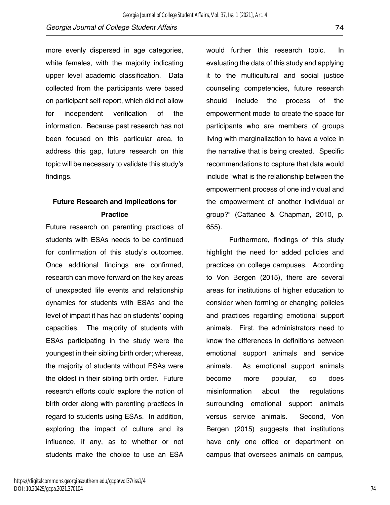more evenly dispersed in age categories, white females, with the majority indicating upper level academic classification. Data collected from the participants were based on participant self-report, which did not allow for independent verification of the information. Because past research has not been focused on this particular area, to address this gap, future research on this topic will be necessary to validate this study's findings.

## **Future Research and Implications for Practice**

Future research on parenting practices of students with ESAs needs to be continued for confirmation of this study's outcomes. Once additional findings are confirmed, research can move forward on the key areas of unexpected life events and relationship dynamics for students with ESAs and the level of impact it has had on students' coping capacities. The majority of students with ESAs participating in the study were the youngest in their sibling birth order; whereas, the majority of students without ESAs were the oldest in their sibling birth order. Future research efforts could explore the notion of birth order along with parenting practices in regard to students using ESAs. In addition, exploring the impact of culture and its influence, if any, as to whether or not students make the choice to use an ESA

would further this research topic. In evaluating the data of this study and applying it to the multicultural and social justice counseling competencies, future research should include the process of the empowerment model to create the space for participants who are members of groups living with marginalization to have a voice in the narrative that is being created. Specific recommendations to capture that data would include "what is the relationship between the empowerment process of one individual and the empowerment of another individual or group?" (Cattaneo & Chapman, 2010, p. 655).

Furthermore, findings of this study highlight the need for added policies and practices on college campuses. According to Von Bergen (2015), there are several areas for institutions of higher education to consider when forming or changing policies and practices regarding emotional support animals. First, the administrators need to know the differences in definitions between emotional support animals and service animals. As emotional support animals become more popular, so does misinformation about the regulations surrounding emotional support animals versus service animals. Second, Von Bergen (2015) suggests that institutions have only one office or department on campus that oversees animals on campus,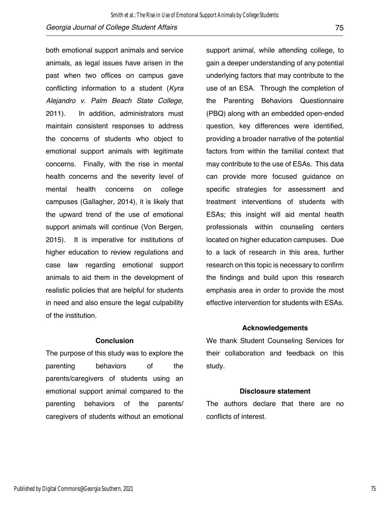both emotional support animals and service animals, as legal issues have arisen in the past when two offices on campus gave conflicting information to a student (*Kyra Alejandro v. Palm Beach State College*, 2011). In addition, administrators must maintain consistent responses to address the concerns of students who object to emotional support animals with legitimate concerns. Finally, with the rise in mental health concerns and the severity level of mental health concerns on college campuses (Gallagher, 2014), it is likely that the upward trend of the use of emotional support animals will continue (Von Bergen, 2015). It is imperative for institutions of higher education to review regulations and case law regarding emotional support animals to aid them in the development of realistic policies that are helpful for students in need and also ensure the legal culpability of the institution.

#### **Conclusion**

The purpose of this study was to explore the parenting behaviors of the parents/caregivers of students using an emotional support animal compared to the parenting behaviors of the parents/ caregivers of students without an emotional

support animal, while attending college, to gain a deeper understanding of any potential underlying factors that may contribute to the use of an ESA. Through the completion of the Parenting Behaviors Questionnaire (PBQ) along with an embedded open-ended question, key differences were identified, providing a broader narrative of the potential factors from within the familial context that may contribute to the use of ESAs. This data can provide more focused guidance on specific strategies for assessment and treatment interventions of students with ESAs; this insight will aid mental health professionals within counseling centers located on higher education campuses. Due to a lack of research in this area, further research on this topic is necessary to confirm the findings and build upon this research emphasis area in order to provide the most effective intervention for students with ESAs.

#### **Acknowledgements**

We thank Student Counseling Services for their collaboration and feedback on this study.

#### **Disclosure statement**

The authors declare that there are no conflicts of interest.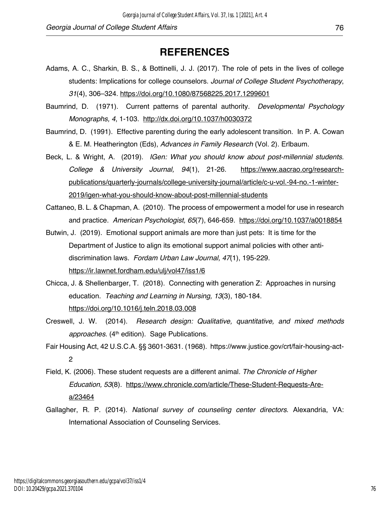## **REFERENCES**

- Adams, A. C., Sharkin, B. S., & Bottinelli, J. J. (2017). The role of pets in the lives of college students: Implications for college counselors. *Journal of College Student Psychotherapy*, *31*(4), 306–324. https://doi.org/10.1080/87568225.2017.1299601
- Baumrind, D. (1971). Current patterns of parental authority. *Developmental Psychology Monographs, 4*, 1-103. http://dx.doi.org/10.1037/h0030372
- Baumrind, D. (1991). Effective parenting during the early adolescent transition. In P. A. Cowan & E. M. Heatherington (Eds), *Advances in Family Research* (Vol. 2). Erlbaum.
- Beck, L. & Wright, A. (2019). *IGen: What you should know about post-millennial students. College & University Journal, 94*(1), 21-26. https://www.aacrao.org/researchpublications/quarterly-journals/college-university-journal/article/c-u-vol.-94-no.-1-winter-2019/igen-what-you-should-know-about-post-millennial-students
- Cattaneo, B. L. & Chapman, A. (2010). The process of empowerment a model for use in research and practice. *American Psychologist, 65*(7), 646-659. https://doi.org/10.1037/a0018854
- Butwin, J. (2019). Emotional support animals are more than just pets: It is time for the Department of Justice to align its emotional support animal policies with other antidiscrimination laws. *Fordam Urban Law Journal, 47*(1), 195-229. https://ir.lawnet.fordham.edu/ulj/vol47/iss1/6
- Chicca, J. & Shellenbarger, T. (2018). Connecting with generation Z: Approaches in nursing education. *Teaching and Learning in Nursing, 13*(3), 180-184. https://doi.org/10.1016/j.teln.2018.03.008
- Creswell, J. W. (2014). *Research design: Qualitative, quantitative, and mixed methods*  approaches. (4<sup>th</sup> edition). Sage Publications.
- Fair Housing Act, 42 U.S.C.A. §§ 3601-3631. (1968). https://www.justice.gov/crt/fair-housing-act-2
- Field, K. (2006). These student requests are a different animal. *The Chronicle of Higher Education, 53*(8). https://www.chronicle.com/article/These-Student-Requests-Area/23464
- Gallagher, R. P. (2014). *National survey of counseling center directors*. Alexandria, VA: International Association of Counseling Services.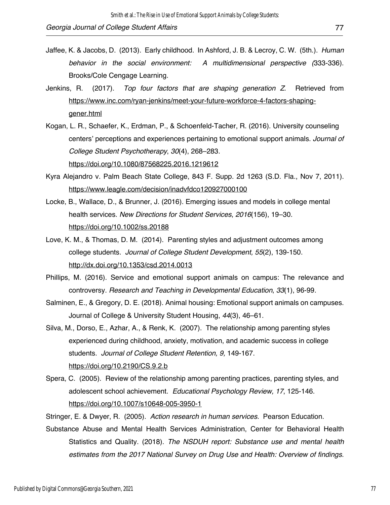- Jaffee, K. & Jacobs, D. (2013). Early childhood. In Ashford, J. B. & Lecroy, C. W. (5th.). *Human behavior in the social environment: A multidimensional perspective (*333-336). Brooks/Cole Cengage Learning.
- Jenkins, R. (2017). *Top four factors that are shaping generation Z*. Retrieved from https://www.inc.com/ryan-jenkins/meet-your-future-workforce-4-factors-shapinggener.html
- Kogan, L. R., Schaefer, K., Erdman, P., & Schoenfeld-Tacher, R. (2016). University counseling centers' perceptions and experiences pertaining to emotional support animals. *Journal of College Student Psychotherapy*, *30*(4), 268–283. https://doi.org/10.1080/87568225.2016.1219612
- Kyra Alejandro v. Palm Beach State College, 843 F. Supp. 2d 1263 (S.D. Fla., Nov 7, 2011). https://www.leagle.com/decision/inadvfdco120927000100
- Locke, B., Wallace, D., & Brunner, J. (2016). Emerging issues and models in college mental health services. *New Directions for Student Services*, *2016*(156), 19–30. https://doi.org/10.1002/ss.20188
- Love, K. M., & Thomas, D. M. (2014). Parenting styles and adjustment outcomes among college students. *Journal of College Student Development, 55*(2), 139-150. http://dx.doi.org/10.1353/csd.2014.0013
- Phillips, M. (2016). Service and emotional support animals on campus: The relevance and controversy. *Research and Teaching in Developmental Education*, *33*(1), 96-99.
- Salminen, E., & Gregory, D. E. (2018). Animal housing: Emotional support animals on campuses. Journal of College & University Student Housing, *44*(3), 46–61.
- Silva, M., Dorso, E., Azhar, A., & Renk, K. (2007). The relationship among parenting styles experienced during childhood, anxiety, motivation, and academic success in college students. *Journal of College Student Retention, 9,* 149-167. https://doi.org/10.2190/CS.9.2.b
- Spera, C. (2005). Review of the relationship among parenting practices, parenting styles, and adolescent school achievement. *Educational Psychology Review, 17*, 125-146. https://doi.org/10.1007/s10648-005-3950-1

Stringer, E. & Dwyer, R. (2005). *Action research in human services.* Pearson Education.

Substance Abuse and Mental Health Services Administration, Center for Behavioral Health Statistics and Quality. (2018). *The NSDUH report: Substance use and mental health estimates from the 2017 National Survey on Drug Use and Health: Overview of findings.*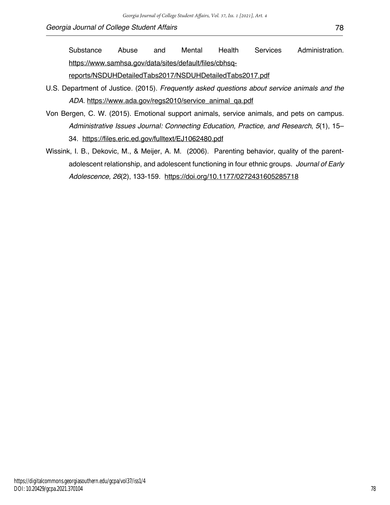Substance Abuse and Mental Health Services Administration. https://www.samhsa.gov/data/sites/default/files/cbhsq-

reports/NSDUHDetailedTabs2017/NSDUHDetailedTabs2017.pdf

- U.S. Department of Justice. (2015). *Frequently asked questions about service animals and the ADA.* https://www.ada.gov/regs2010/service\_animal\_qa.pdf
- Von Bergen, C. W. (2015). Emotional support animals, service animals, and pets on campus. *Administrative Issues Journal: Connecting Education, Practice, and Research*, *5*(1), 15– 34. https://files.eric.ed.gov/fulltext/EJ1062480.pdf
- Wissink, I. B., Dekovic, M., & Meijer, A. M. (2006). Parenting behavior, quality of the parentadolescent relationship, and adolescent functioning in four ethnic groups. *Journal of Early Adolescence, 26*(2), 133-159. https://doi.org/10.1177/0272431605285718